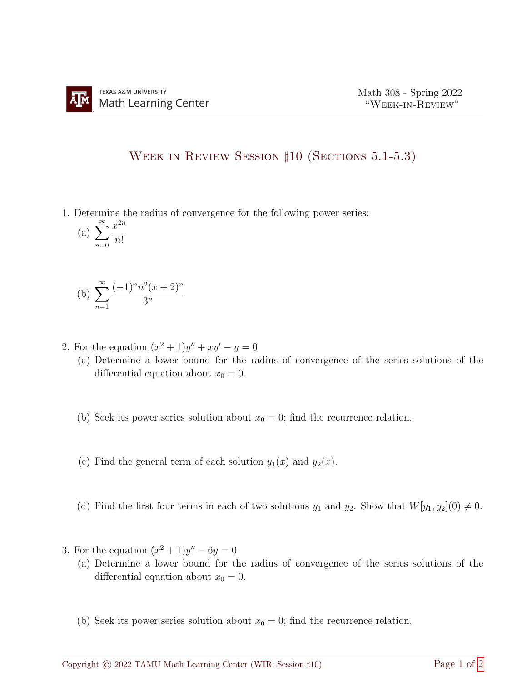## WEEK IN REVIEW SESSION  $\sharp 10$  (SECTIONS 5.1-5.3)

1. Determine the radius of convergence for the following power series:

$$
(a) \sum_{n=0}^{\infty} \frac{x^{2n}}{n!}
$$

(b) 
$$
\sum_{n=1}^{\infty} \frac{(-1)^n n^2 (x+2)^n}{3^n}
$$

- 2. For the equation  $(x^2 + 1)y'' + xy' y = 0$ 
	- (a) Determine a lower bound for the radius of convergence of the series solutions of the differential equation about  $x_0 = 0$ .
	- (b) Seek its power series solution about  $x_0 = 0$ ; find the recurrence relation.
	- (c) Find the general term of each solution  $y_1(x)$  and  $y_2(x)$ .
	- (d) Find the first four terms in each of two solutions  $y_1$  and  $y_2$ . Show that  $W[y_1, y_2](0) \neq 0$ .
- 3. For the equation  $(x^2 + 1)y'' 6y = 0$ 
	- (a) Determine a lower bound for the radius of convergence of the series solutions of the differential equation about  $x_0 = 0$ .
	- (b) Seek its power series solution about  $x_0 = 0$ ; find the recurrence relation.